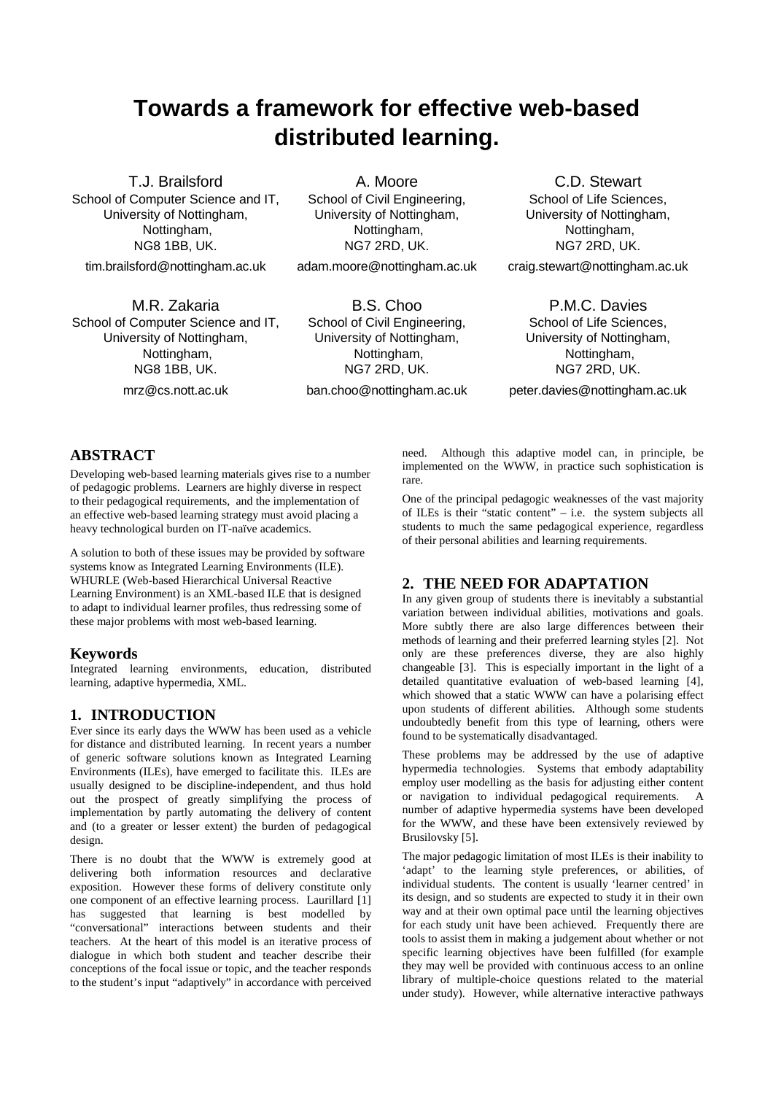# **Towards a framework for effective web-based distributed learning.**

T.J. Brailsford School of Computer Science and IT, University of Nottingham, Nottingham, NG8 1BB, UK. tim.brailsford@nottingham.ac.uk

A. Moore School of Civil Engineering, University of Nottingham, Nottingham, NG7 2RD, UK.

adam.moore@nottingham.ac.uk

M.R. Zakaria School of Computer Science and IT, University of Nottingham, Nottingham, NG8 1BB, UK. mrz@cs.nott.ac.uk

B.S. Choo School of Civil Engineering, University of Nottingham, Nottingham, NG7 2RD, UK. ban.choo@nottingham.ac.uk

C.D. Stewart School of Life Sciences, University of Nottingham, Nottingham, NG7 2RD, UK. craig.stewart@nottingham.ac.uk

P.M.C. Davies School of Life Sciences, University of Nottingham, Nottingham, NG7 2RD, UK. peter.davies@nottingham.ac.uk

# **ABSTRACT**

Developing web-based learning materials gives rise to a number of pedagogic problems. Learners are highly diverse in respect to their pedagogical requirements, and the implementation of an effective web-based learning strategy must avoid placing a heavy technological burden on IT-naïve academics.

A solution to both of these issues may be provided by software systems know as Integrated Learning Environments (ILE). WHURLE (Web-based Hierarchical Universal Reactive Learning Environment) is an XML-based ILE that is designed to adapt to individual learner profiles, thus redressing some of these major problems with most web-based learning.

#### **Keywords**

Integrated learning environments, education, distributed learning, adaptive hypermedia, XML.

## **1. INTRODUCTION**

Ever since its early days the WWW has been used as a vehicle for distance and distributed learning. In recent years a number of generic software solutions known as Integrated Learning Environments (ILEs), have emerged to facilitate this. ILEs are usually designed to be discipline-independent, and thus hold out the prospect of greatly simplifying the process of implementation by partly automating the delivery of content and (to a greater or lesser extent) the burden of pedagogical design.

There is no doubt that the WWW is extremely good at delivering both information resources and declarative exposition. However these forms of delivery constitute only one component of an effective learning process. Laurillard [1] has suggested that learning is best modelled by "conversational" interactions between students and their teachers. At the heart of this model is an iterative process of dialogue in which both student and teacher describe their conceptions of the focal issue or topic, and the teacher responds to the student's input "adaptively" in accordance with perceived need. Although this adaptive model can, in principle, be implemented on the WWW, in practice such sophistication is rare.

One of the principal pedagogic weaknesses of the vast majority of ILEs is their "static content" – i.e. the system subjects all students to much the same pedagogical experience, regardless of their personal abilities and learning requirements.

## **2. THE NEED FOR ADAPTATION**

In any given group of students there is inevitably a substantial variation between individual abilities, motivations and goals. More subtly there are also large differences between their methods of learning and their preferred learning styles [2]. Not only are these preferences diverse, they are also highly changeable [3]. This is especially important in the light of a detailed quantitative evaluation of web-based learning [4], which showed that a static WWW can have a polarising effect upon students of different abilities. Although some students undoubtedly benefit from this type of learning, others were found to be systematically disadvantaged.

These problems may be addressed by the use of adaptive hypermedia technologies. Systems that embody adaptability employ user modelling as the basis for adjusting either content or navigation to individual pedagogical requirements. A number of adaptive hypermedia systems have been developed for the WWW, and these have been extensively reviewed by Brusilovsky [5].

The major pedagogic limitation of most ILEs is their inability to 'adapt' to the learning style preferences, or abilities, of individual students. The content is usually 'learner centred' in its design, and so students are expected to study it in their own way and at their own optimal pace until the learning objectives for each study unit have been achieved. Frequently there are tools to assist them in making a judgement about whether or not specific learning objectives have been fulfilled (for example they may well be provided with continuous access to an online library of multiple-choice questions related to the material under study). However, while alternative interactive pathways